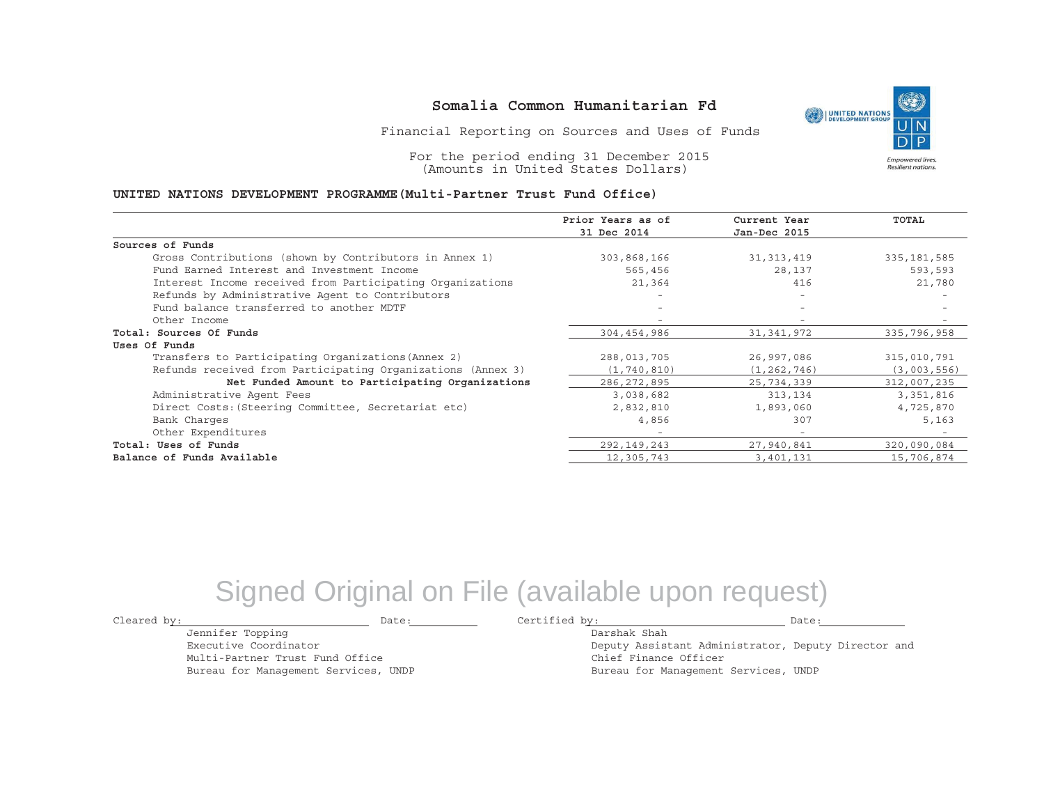Financial Reporting on Sources and Uses of Funds

For the period ending 31 December 2015 (Amounts in United States Dollars)

#### **UNITED NATIONS DEVELOPMENT PROGRAMME(Multi-Partner Trust Fund Office)**

|                                                             | Prior Years as of | Current Year             | <b>TOTAL</b>  |
|-------------------------------------------------------------|-------------------|--------------------------|---------------|
|                                                             | 31 Dec 2014       | Jan-Dec 2015             |               |
| Sources of Funds                                            |                   |                          |               |
| Gross Contributions (shown by Contributors in Annex 1)      | 303,868,166       | 31, 313, 419             | 335, 181, 585 |
| Fund Earned Interest and Investment Income                  | 565,456           | 28,137                   | 593,593       |
| Interest Income received from Participating Organizations   | 21,364            | 416                      | 21,780        |
| Refunds by Administrative Agent to Contributors             |                   | $\overline{\phantom{0}}$ |               |
| Fund balance transferred to another MDTF                    |                   |                          |               |
| Other Income                                                | -                 |                          |               |
| Total: Sources Of Funds                                     | 304,454,986       | 31,341,972               | 335,796,958   |
| Uses Of Funds                                               |                   |                          |               |
| Transfers to Participating Organizations (Annex 2)          | 288,013,705       | 26,997,086               | 315,010,791   |
| Refunds received from Participating Organizations (Annex 3) | (1, 740, 810)     | (1, 262, 746)            | (3,003,556)   |
| Net Funded Amount to Participating Organizations            | 286, 272, 895     | 25,734,339               | 312,007,235   |
| Administrative Agent Fees                                   | 3,038,682         | 313,134                  | 3,351,816     |
| Direct Costs: (Steering Committee, Secretariat etc)         | 2,832,810         | 1,893,060                | 4,725,870     |
| Bank Charges                                                | 4,856             | 307                      | 5,163         |
| Other Expenditures                                          | -                 | $\overline{\phantom{a}}$ |               |
| Total: Uses of Funds                                        | 292,149,243       | 27,940,841               | 320,090,084   |
| Balance of Funds Available                                  | 12,305,743        | 3,401,131                | 15,706,874    |

# Signed Original on File (available upon request)

Jennifer Topping Executive CoordinatorMulti-Partner Trust Fund Office Bureau for Management Services, UNDP

Cleared by: Date: Certified by: Date:

Darshak ShahDeputy Assistant Administrator, Deputy Director and Chief Finance Officer Bureau for Management Services, UNDP

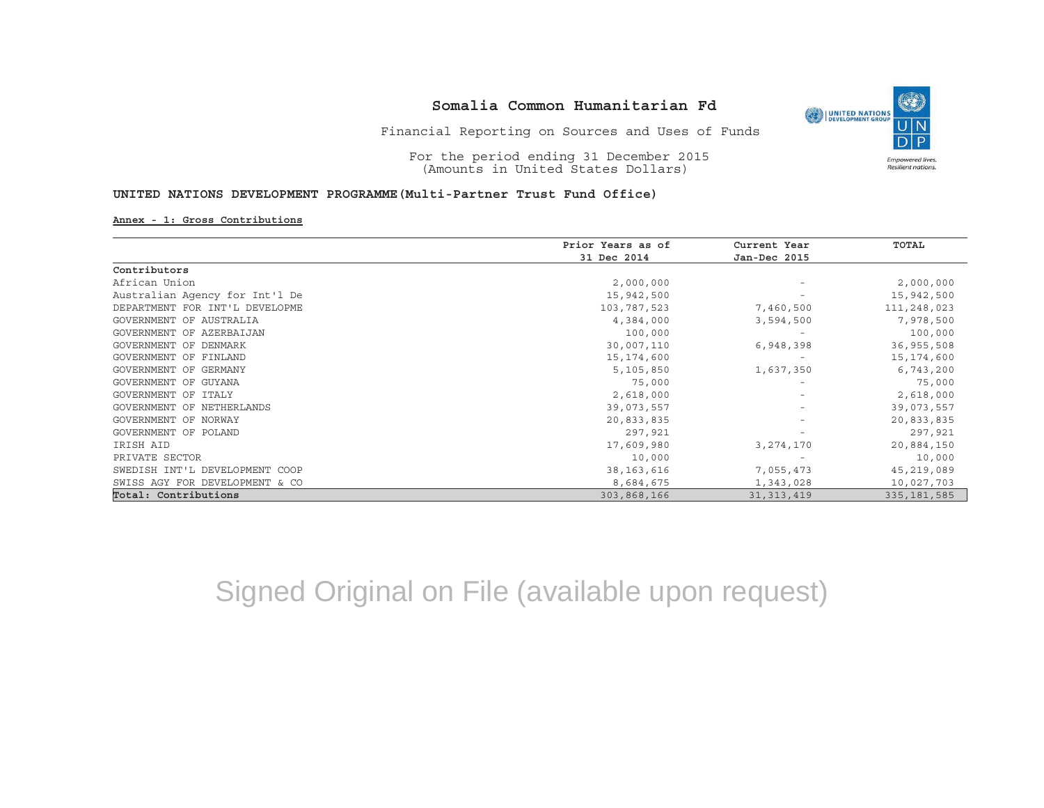

For the period ending 31 December 2015 (Amounts in United States Dollars)

### **UNITED NATIONS DEVELOPMENT PROGRAMME(Multi-Partner Trust Fund Office)**

#### **Annex - 1: Gross Contributions**

|                                | Prior Years as of | Current Year<br>Jan-Dec 2015 | TOTAL         |
|--------------------------------|-------------------|------------------------------|---------------|
|                                | 31 Dec 2014       |                              |               |
| Contributors                   |                   |                              |               |
| African Union                  | 2,000,000         |                              | 2,000,000     |
| Australian Agency for Int'l De | 15,942,500        |                              | 15,942,500    |
| DEPARTMENT FOR INT'L DEVELOPME | 103,787,523       | 7,460,500                    | 111,248,023   |
| GOVERNMENT OF AUSTRALIA        | 4,384,000         | 3,594,500                    | 7,978,500     |
| GOVERNMENT OF AZERBAIJAN       | 100,000           |                              | 100,000       |
| GOVERNMENT OF DENMARK          | 30,007,110        | 6,948,398                    | 36,955,508    |
| GOVERNMENT OF FINLAND          | 15, 174, 600      | $\overline{\phantom{a}}$     | 15,174,600    |
| GOVERNMENT OF GERMANY          | 5,105,850         | 1,637,350                    | 6,743,200     |
| GOVERNMENT OF GUYANA           | 75,000            |                              | 75,000        |
| GOVERNMENT OF ITALY            | 2,618,000         |                              | 2,618,000     |
| GOVERNMENT OF NETHERLANDS      | 39,073,557        |                              | 39,073,557    |
| GOVERNMENT OF NORWAY           | 20,833,835        |                              | 20,833,835    |
| GOVERNMENT OF POLAND           | 297,921           |                              | 297,921       |
| IRISH AID                      | 17,609,980        | 3, 274, 170                  | 20,884,150    |
| PRIVATE SECTOR                 | 10,000            |                              | 10,000        |
| SWEDISH INT'L DEVELOPMENT COOP | 38, 163, 616      | 7,055,473                    | 45,219,089    |
| SWISS AGY FOR DEVELOPMENT & CO | 8,684,675         | 1,343,028                    | 10,027,703    |
| Total: Contributions           | 303,868,166       | 31, 313, 419                 | 335, 181, 585 |

Signed Original on File (available upon request)

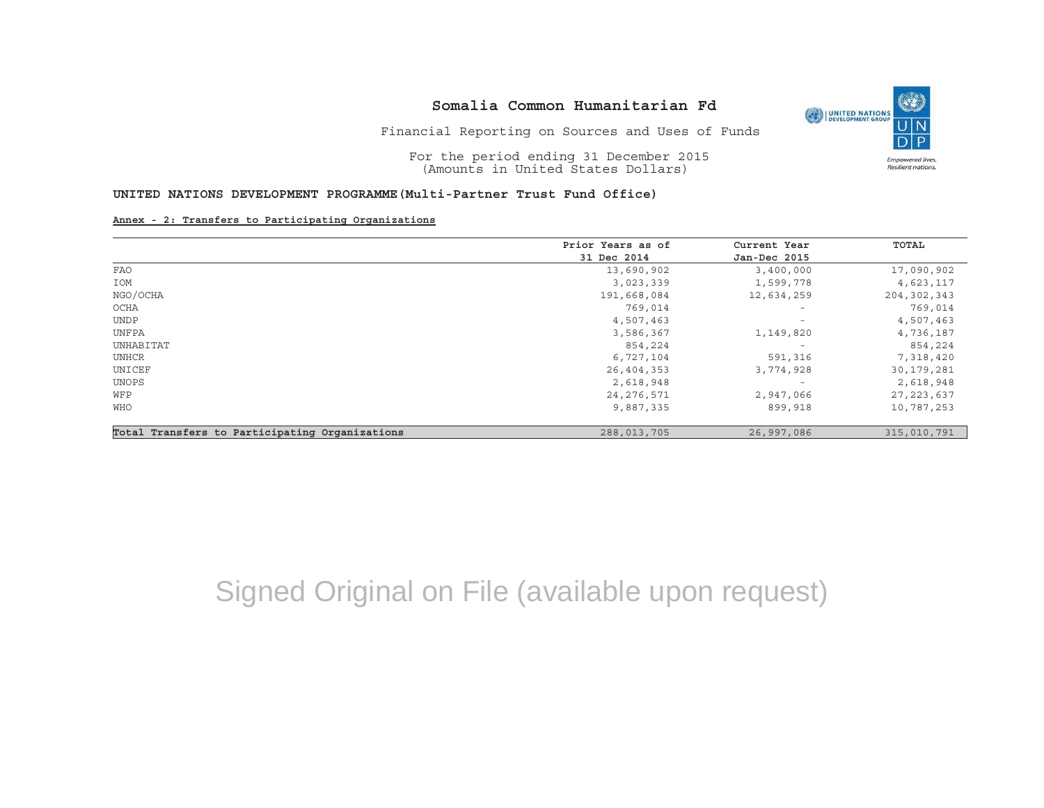

Financial Reporting on Sources and Uses of Funds

For the period ending 31 December 2015 (Amounts in United States Dollars)

#### **UNITED NATIONS DEVELOPMENT PROGRAMME(Multi-Partner Trust Fund Office)**

#### **Annex - 2: Transfers to Participating Organizations**

|                                                | Prior Years as of | Current Year             | TOTAL         |
|------------------------------------------------|-------------------|--------------------------|---------------|
|                                                | 31 Dec 2014       | Jan-Dec 2015             |               |
| <b>FAO</b>                                     | 13,690,902        | 3,400,000                | 17,090,902    |
| IOM                                            | 3,023,339         | 1,599,778                | 4,623,117     |
| NGO/OCHA                                       | 191,668,084       | 12,634,259               | 204, 302, 343 |
| OCHA                                           | 769,014           | $\overline{\phantom{m}}$ | 769,014       |
| <b>UNDP</b>                                    | 4,507,463         | $\overline{\phantom{a}}$ | 4,507,463     |
| UNFPA                                          | 3,586,367         | 1,149,820                | 4,736,187     |
| UNHABITAT                                      | 854,224           | $\overline{\phantom{a}}$ | 854,224       |
| UNHCR                                          | 6,727,104         | 591,316                  | 7,318,420     |
| UNICEF                                         | 26,404,353        | 3,774,928                | 30,179,281    |
| UNOPS                                          | 2,618,948         | $\overline{\phantom{a}}$ | 2,618,948     |
| WFP                                            | 24,276,571        | 2,947,066                | 27, 223, 637  |
| WHO                                            | 9,887,335         | 899,918                  | 10,787,253    |
| Total Transfers to Participating Organizations | 288,013,705       | 26,997,086               | 315,010,791   |

# Signed Original on File (available upon request)